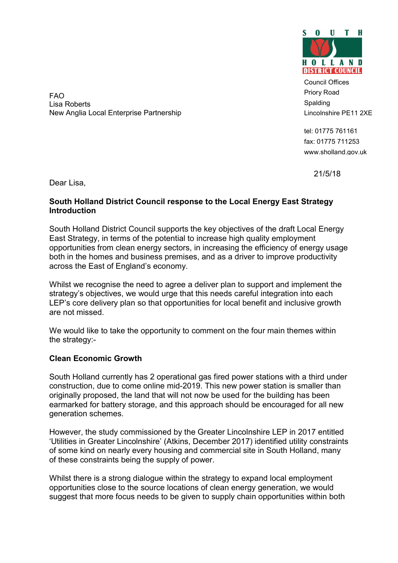

Council Offices Priory Road Spalding Lincolnshire PE11 2XE

tel: 01775 761161 fax: 01775 711253 www.sholland.gov.uk

21/5/18

FAO Lisa Roberts New Anglia Local Enterprise Partnership

Dear Lisa,

## South Holland District Council response to the Local Energy East Strategy **Introduction**

South Holland District Council supports the key objectives of the draft Local Energy East Strategy, in terms of the potential to increase high quality employment opportunities from clean energy sectors, in increasing the efficiency of energy usage both in the homes and business premises, and as a driver to improve productivity across the East of England's economy.

Whilst we recognise the need to agree a deliver plan to support and implement the strategy's objectives, we would urge that this needs careful integration into each LEP's core delivery plan so that opportunities for local benefit and inclusive growth are not missed.

We would like to take the opportunity to comment on the four main themes within the strategy:-

# Clean Economic Growth

South Holland currently has 2 operational gas fired power stations with a third under construction, due to come online mid-2019. This new power station is smaller than originally proposed, the land that will not now be used for the building has been earmarked for battery storage, and this approach should be encouraged for all new generation schemes.

However, the study commissioned by the Greater Lincolnshire LEP in 2017 entitled 'Utilities in Greater Lincolnshire' (Atkins, December 2017) identified utility constraints of some kind on nearly every housing and commercial site in South Holland, many of these constraints being the supply of power.

Whilst there is a strong dialogue within the strategy to expand local employment opportunities close to the source locations of clean energy generation, we would suggest that more focus needs to be given to supply chain opportunities within both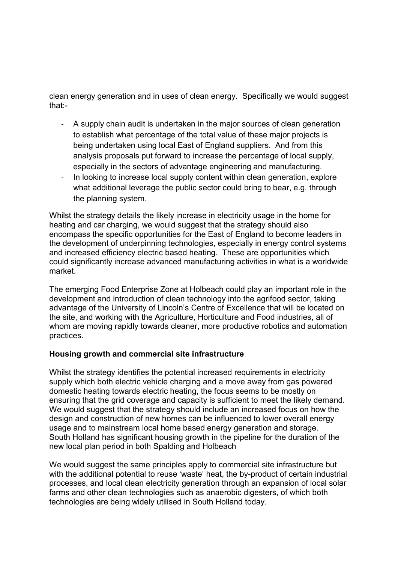clean energy generation and in uses of clean energy. Specifically we would suggest that:-

- A supply chain audit is undertaken in the major sources of clean generation to establish what percentage of the total value of these major projects is being undertaken using local East of England suppliers. And from this analysis proposals put forward to increase the percentage of local supply, especially in the sectors of advantage engineering and manufacturing.
- In looking to increase local supply content within clean generation, explore what additional leverage the public sector could bring to bear, e.g. through the planning system.

Whilst the strategy details the likely increase in electricity usage in the home for heating and car charging, we would suggest that the strategy should also encompass the specific opportunities for the East of England to become leaders in the development of underpinning technologies, especially in energy control systems and increased efficiency electric based heating. These are opportunities which could significantly increase advanced manufacturing activities in what is a worldwide market.

The emerging Food Enterprise Zone at Holbeach could play an important role in the development and introduction of clean technology into the agrifood sector, taking advantage of the University of Lincoln's Centre of Excellence that will be located on the site, and working with the Agriculture, Horticulture and Food industries, all of whom are moving rapidly towards cleaner, more productive robotics and automation practices.

### Housing growth and commercial site infrastructure

Whilst the strategy identifies the potential increased requirements in electricity supply which both electric vehicle charging and a move away from gas powered domestic heating towards electric heating, the focus seems to be mostly on ensuring that the grid coverage and capacity is sufficient to meet the likely demand. We would suggest that the strategy should include an increased focus on how the design and construction of new homes can be influenced to lower overall energy usage and to mainstream local home based energy generation and storage. South Holland has significant housing growth in the pipeline for the duration of the new local plan period in both Spalding and Holbeach

We would suggest the same principles apply to commercial site infrastructure but with the additional potential to reuse 'waste' heat, the by-product of certain industrial processes, and local clean electricity generation through an expansion of local solar farms and other clean technologies such as anaerobic digesters, of which both technologies are being widely utilised in South Holland today.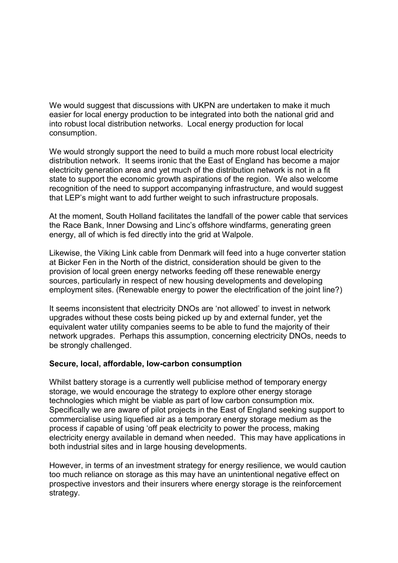We would suggest that discussions with UKPN are undertaken to make it much easier for local energy production to be integrated into both the national grid and into robust local distribution networks. Local energy production for local consumption.

We would strongly support the need to build a much more robust local electricity distribution network. It seems ironic that the East of England has become a major electricity generation area and yet much of the distribution network is not in a fit state to support the economic growth aspirations of the region. We also welcome recognition of the need to support accompanying infrastructure, and would suggest that LEP's might want to add further weight to such infrastructure proposals.

At the moment, South Holland facilitates the landfall of the power cable that services the Race Bank, Inner Dowsing and Linc's offshore windfarms, generating green energy, all of which is fed directly into the grid at Walpole.

Likewise, the Viking Link cable from Denmark will feed into a huge converter station at Bicker Fen in the North of the district, consideration should be given to the provision of local green energy networks feeding off these renewable energy sources, particularly in respect of new housing developments and developing employment sites. (Renewable energy to power the electrification of the joint line?)

It seems inconsistent that electricity DNOs are 'not allowed' to invest in network upgrades without these costs being picked up by and external funder, yet the equivalent water utility companies seems to be able to fund the majority of their network upgrades. Perhaps this assumption, concerning electricity DNOs, needs to be strongly challenged.

### Secure, local, affordable, low-carbon consumption

Whilst battery storage is a currently well publicise method of temporary energy storage, we would encourage the strategy to explore other energy storage technologies which might be viable as part of low carbon consumption mix. Specifically we are aware of pilot projects in the East of England seeking support to commercialise using liquefied air as a temporary energy storage medium as the process if capable of using 'off peak electricity to power the process, making electricity energy available in demand when needed. This may have applications in both industrial sites and in large housing developments.

However, in terms of an investment strategy for energy resilience, we would caution too much reliance on storage as this may have an unintentional negative effect on prospective investors and their insurers where energy storage is the reinforcement strategy.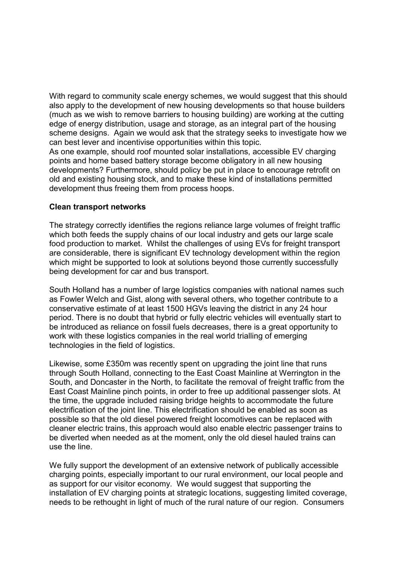With regard to community scale energy schemes, we would suggest that this should also apply to the development of new housing developments so that house builders (much as we wish to remove barriers to housing building) are working at the cutting edge of energy distribution, usage and storage, as an integral part of the housing scheme designs. Again we would ask that the strategy seeks to investigate how we can best lever and incentivise opportunities within this topic.

As one example, should roof mounted solar installations, accessible EV charging points and home based battery storage become obligatory in all new housing developments? Furthermore, should policy be put in place to encourage retrofit on old and existing housing stock, and to make these kind of installations permitted development thus freeing them from process hoops.

#### Clean transport networks

The strategy correctly identifies the regions reliance large volumes of freight traffic which both feeds the supply chains of our local industry and gets our large scale food production to market. Whilst the challenges of using EVs for freight transport are considerable, there is significant EV technology development within the region which might be supported to look at solutions beyond those currently successfully being development for car and bus transport.

South Holland has a number of large logistics companies with national names such as Fowler Welch and Gist, along with several others, who together contribute to a conservative estimate of at least 1500 HGVs leaving the district in any 24 hour period. There is no doubt that hybrid or fully electric vehicles will eventually start to be introduced as reliance on fossil fuels decreases, there is a great opportunity to work with these logistics companies in the real world trialling of emerging technologies in the field of logistics.

Likewise, some £350m was recently spent on upgrading the joint line that runs through South Holland, connecting to the East Coast Mainline at Werrington in the South, and Doncaster in the North, to facilitate the removal of freight traffic from the East Coast Mainline pinch points, in order to free up additional passenger slots. At the time, the upgrade included raising bridge heights to accommodate the future electrification of the joint line. This electrification should be enabled as soon as possible so that the old diesel powered freight locomotives can be replaced with cleaner electric trains, this approach would also enable electric passenger trains to be diverted when needed as at the moment, only the old diesel hauled trains can use the line.

We fully support the development of an extensive network of publically accessible charging points, especially important to our rural environment, our local people and as support for our visitor economy. We would suggest that supporting the installation of EV charging points at strategic locations, suggesting limited coverage, needs to be rethought in light of much of the rural nature of our region. Consumers